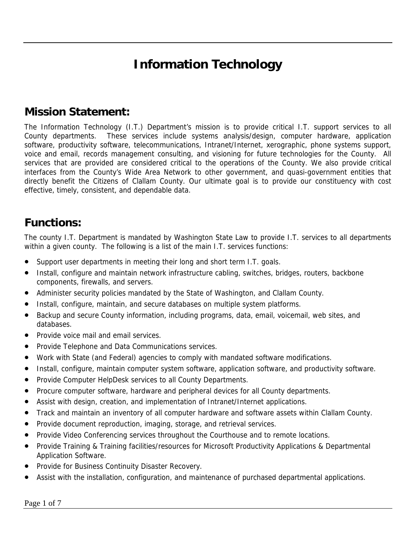# **Information Technology**

#### **Mission Statement:**

The Information Technology (I.T.) Department's mission is to provide critical I.T. support services to all County departments. These services include systems analysis/design, computer hardware, application software, productivity software, telecommunications, Intranet/Internet, xerographic, phone systems support, voice and email, records management consulting, and visioning for future technologies for the County. All services that are provided are considered critical to the operations of the County. We also provide critical interfaces from the County's Wide Area Network to other government, and quasi-government entities that directly benefit the Citizens of Clallam County. Our ultimate goal is to provide our constituency with cost effective, timely, consistent, and dependable data.

#### **Functions:**

The county I.T. Department is mandated by Washington State Law to provide I.T. services to all departments within a given county. The following is a list of the main I.T. services functions:

- Support user departments in meeting their long and short term I.T. goals.
- Install, configure and maintain network infrastructure cabling, switches, bridges, routers, backbone components, firewalls, and servers.
- Administer security policies mandated by the State of Washington, and Clallam County.
- Install, configure, maintain, and secure databases on multiple system platforms.
- Backup and secure County information, including programs, data, email, voicemail, web sites, and databases.
- Provide voice mail and email services.
- Provide Telephone and Data Communications services.
- Work with State (and Federal) agencies to comply with mandated software modifications.
- Install, configure, maintain computer system software, application software, and productivity software.
- Provide Computer HelpDesk services to all County Departments.
- Procure computer software, hardware and peripheral devices for all County departments.
- Assist with design, creation, and implementation of Intranet/Internet applications.
- Track and maintain an inventory of all computer hardware and software assets within Clallam County.
- Provide document reproduction, imaging, storage, and retrieval services.
- Provide Video Conferencing services throughout the Courthouse and to remote locations.
- Provide Training & Training facilities/resources for Microsoft Productivity Applications & Departmental Application Software.
- Provide for Business Continuity Disaster Recovery.
- Assist with the installation, configuration, and maintenance of purchased departmental applications.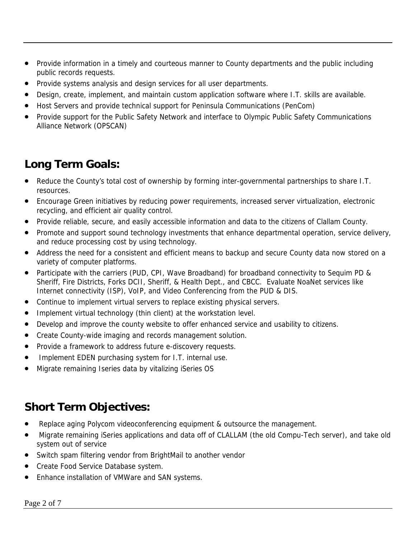- Provide information in a timely and courteous manner to County departments and the public including public records requests.
- Provide systems analysis and design services for all user departments.
- Design, create, implement, and maintain custom application software where I.T. skills are available.
- Host Servers and provide technical support for Peninsula Communications (PenCom)
- Provide support for the Public Safety Network and interface to Olympic Public Safety Communications Alliance Network (OPSCAN)

### **Long Term Goals:**

- Reduce the County's total cost of ownership by forming inter-governmental partnerships to share I.T. resources.
- Encourage Green initiatives by reducing power requirements, increased server virtualization, electronic recycling, and efficient air quality control.
- Provide reliable, secure, and easily accessible information and data to the citizens of Clallam County.
- Promote and support sound technology investments that enhance departmental operation, service delivery, and reduce processing cost by using technology.
- Address the need for a consistent and efficient means to backup and secure County data now stored on a variety of computer platforms.
- Participate with the carriers (PUD, CPI, Wave Broadband) for broadband connectivity to Sequim PD & Sheriff, Fire Districts, Forks DCII, Sheriff, & Health Dept., and CBCC. Evaluate NoaNet services like Internet connectivity (ISP), VoIP, and Video Conferencing from the PUD & DIS.
- Continue to implement virtual servers to replace existing physical servers.
- Implement virtual technology (thin client) at the workstation level.
- Develop and improve the county website to offer enhanced service and usability to citizens.
- Create County-wide imaging and records management solution.
- Provide a framework to address future e-discovery requests.
- Implement EDEN purchasing system for I.T. internal use.
- Migrate remaining Iseries data by vitalizing iSeries OS

### **Short Term Objectives:**

- Replace aging Polycom videoconferencing equipment & outsource the management.
- Migrate remaining iSeries applications and data off of CLALLAM (the old Compu-Tech server), and take old system out of service
- Switch spam filtering vendor from BrightMail to another vendor
- Create Food Service Database system.
- Enhance installation of VMWare and SAN systems.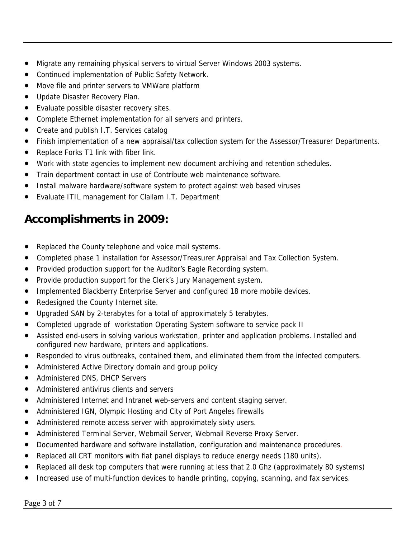- Migrate any remaining physical servers to virtual Server Windows 2003 systems.
- Continued implementation of Public Safety Network.
- Move file and printer servers to VMWare platform
- Update Disaster Recovery Plan.
- Evaluate possible disaster recovery sites.
- Complete Ethernet implementation for all servers and printers.
- Create and publish I.T. Services catalog
- Finish implementation of a new appraisal/tax collection system for the Assessor/Treasurer Departments.
- Replace Forks T1 link with fiber link.
- Work with state agencies to implement new document archiving and retention schedules.
- Train department contact in use of Contribute web maintenance software.
- Install malware hardware/software system to protect against web based viruses
- Evaluate ITIL management for Clallam I.T. Department

### **Accomplishments in 2009:**

- Replaced the County telephone and voice mail systems.
- Completed phase 1 installation for Assessor/Treasurer Appraisal and Tax Collection System.
- Provided production support for the Auditor's Eagle Recording system.
- Provide production support for the Clerk's Jury Management system.
- Implemented Blackberry Enterprise Server and configured 18 more mobile devices.
- Redesigned the County Internet site.
- Upgraded SAN by 2-terabytes for a total of approximately 5 terabytes.
- Completed upgrade of workstation Operating System software to service pack II
- Assisted end-users in solving various workstation, printer and application problems. Installed and configured new hardware, printers and applications.
- Responded to virus outbreaks, contained them, and eliminated them from the infected computers.
- Administered Active Directory domain and group policy
- Administered DNS, DHCP Servers
- Administered antivirus clients and servers
- Administered Internet and Intranet web-servers and content staging server.
- Administered IGN, Olympic Hosting and City of Port Angeles firewalls
- Administered remote access server with approximately sixty users.
- Administered Terminal Server, Webmail Server, Webmail Reverse Proxy Server.
- Documented hardware and software installation, configuration and maintenance procedures.
- Replaced all CRT monitors with flat panel displays to reduce energy needs (180 units).
- Replaced all desk top computers that were running at less that 2.0 Ghz (approximately 80 systems)
- Increased use of multi-function devices to handle printing, copying, scanning, and fax services.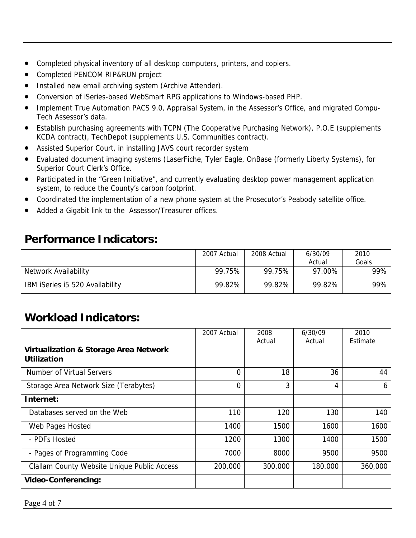- Completed physical inventory of all desktop computers, printers, and copiers.
- Completed PENCOM RIP&RUN project
- Installed new email archiving system (Archive Attender).
- Conversion of iSeries-based WebSmart RPG applications to Windows-based PHP.
- Implement True Automation PACS 9.0, Appraisal System, in the Assessor's Office, and migrated Compu-Tech Assessor's data.
- Establish purchasing agreements with TCPN (The Cooperative Purchasing Network), P.O.E (supplements KCDA contract), TechDepot (supplements U.S. Communities contract).
- Assisted Superior Court, in installing JAVS court recorder system
- Evaluated document imaging systems (LaserFiche, Tyler Eagle, OnBase (formerly Liberty Systems), for Superior Court Clerk's Office.
- Participated in the "Green Initiative", and currently evaluating desktop power management application system, to reduce the County's carbon footprint.
- Coordinated the implementation of a new phone system at the Prosecutor's Peabody satellite office.
- Added a Gigabit link to the Assessor/Treasurer offices.

#### **Performance Indicators:**

|                                 | 2007 Actual | 2008 Actual | 6/30/09 | 2010  |
|---------------------------------|-------------|-------------|---------|-------|
|                                 |             |             | Actual  | Goals |
| Network Availability            | 99.75%      | 99.75%      | 97.00%  | 99%   |
| IBM iSeries i5 520 Availability | 99.82%      | 99.82%      | 99.82%  | 99%   |

### **Workload Indicators:**

|                                                                        | 2007 Actual | 2008<br>Actual | 6/30/09<br>Actual | 2010<br>Estimate |
|------------------------------------------------------------------------|-------------|----------------|-------------------|------------------|
| <b>Virtualization &amp; Storage Area Network</b><br><b>Utilization</b> |             |                |                   |                  |
| Number of Virtual Servers                                              | 0           | 18             | 36                | 44               |
| Storage Area Network Size (Terabytes)                                  | $\Omega$    | 3              | 4                 | 6                |
| Internet:                                                              |             |                |                   |                  |
| Databases served on the Web                                            | 110         | 120            | 130               | 140              |
| Web Pages Hosted                                                       | 1400        | 1500           | 1600              | 1600             |
| - PDFs Hosted                                                          | 1200        | 1300           | 1400              | 1500             |
| - Pages of Programming Code                                            | 7000        | 8000           | 9500              | 9500             |
| <b>Clallam County Website Unique Public Access</b>                     | 200,000     | 300,000        | 180.000           | 360,000          |
| <b>Video-Conferencing:</b>                                             |             |                |                   |                  |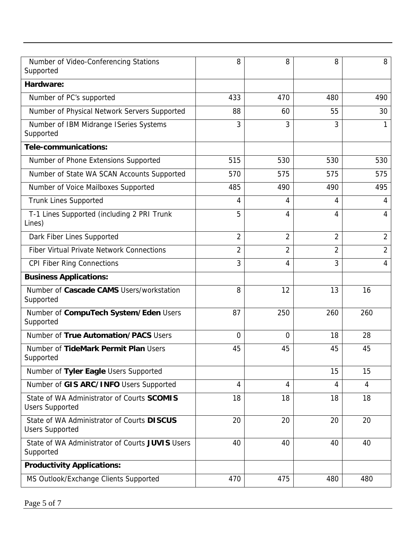| Number of Video-Conferencing Stations<br>Supported                   | 8              | 8              | 8              | 8              |
|----------------------------------------------------------------------|----------------|----------------|----------------|----------------|
| Hardware:                                                            |                |                |                |                |
| Number of PC's supported                                             | 433            | 470            | 480            | 490            |
| Number of Physical Network Servers Supported                         | 88             | 60             | 55             | 30             |
| Number of IBM Midrange ISeries Systems<br>Supported                  | 3              | 3              | 3              |                |
| Tele-communications:                                                 |                |                |                |                |
| Number of Phone Extensions Supported                                 | 515            | 530            | 530            | 530            |
| Number of State WA SCAN Accounts Supported                           | 570            | 575            | 575            | 575            |
| Number of Voice Mailboxes Supported                                  | 485            | 490            | 490            | 495            |
| <b>Trunk Lines Supported</b>                                         | 4              | 4              | 4              | 4              |
| T-1 Lines Supported (including 2 PRI Trunk<br>Lines)                 | 5              | 4              | 4              | 4              |
| Dark Fiber Lines Supported                                           | $\overline{2}$ | $\overline{2}$ | $\overline{2}$ | $\overline{2}$ |
| <b>Fiber Virtual Private Network Connections</b>                     | $\overline{2}$ | $\overline{2}$ | 2              | $\overline{2}$ |
| <b>CPI Fiber Ring Connections</b>                                    | 3              | 4              | 3              | 4              |
| <b>Business Applications:</b>                                        |                |                |                |                |
| Number of Cascade CAMS Users/workstation<br>Supported                | 8              | 12             | 13             | 16             |
| Number of CompuTech System/Eden Users<br>Supported                   | 87             | 250            | 260            | 260            |
| Number of True Automation/PACS Users                                 | $\Omega$       | 0              | 18             | 28             |
| Number of TideMark Permit Plan Users<br>Supported                    | 45             | 45             | 45             | 45             |
| Number of Tyler Eagle Users Supported                                |                |                | 15             | 15             |
| Number of GIS ARC/INFO Users Supported                               | 4              | 4              | 4              | $\overline{4}$ |
| State of WA Administrator of Courts SCOMIS<br><b>Users Supported</b> | 18             | 18             | 18             | 18             |
| State of WA Administrator of Courts DISCUS<br><b>Users Supported</b> | 20             | 20             | 20             | 20             |
| State of WA Administrator of Courts JUVIS Users<br>Supported         | 40             | 40             | 40             | 40             |
| <b>Productivity Applications:</b>                                    |                |                |                |                |
| MS Outlook/Exchange Clients Supported                                | 470            | 475            | 480            | 480            |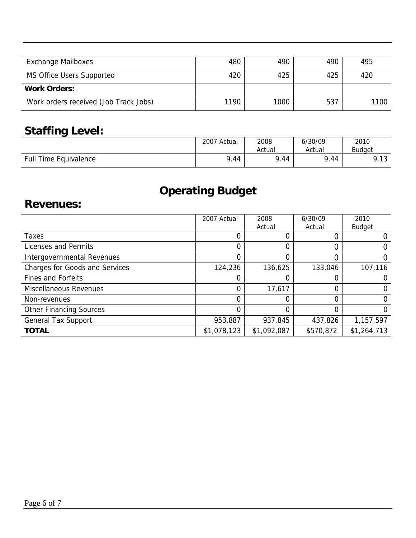| <b>Exchange Mailboxes</b>             | 480  | 490  | 490 | 495  |
|---------------------------------------|------|------|-----|------|
| <b>MS Office Users Supported</b>      | 420  | 425  | 425 | 420  |
| <b>Work Orders:</b>                   |      |      |     |      |
| Work orders received (Job Track Jobs) | 1190 | 1000 | 537 | 1100 |

# **Staffing Level:**

|                              | 2007 Actual | 2008     | 6/30/09 | 2010             |
|------------------------------|-------------|----------|---------|------------------|
|                              |             | Actual   | Actual  | Budaet           |
| <b>Full Time Equivalence</b> | 9.44        | .44<br>Ω | 9.44    | 0 1 2<br>ن ۱ ، ۱ |

# **Operating Budget**

#### **Revenues:**

|                                | 2007 Actual | 2008<br>Actual | 6/30/09<br>Actual | 2010<br><b>Budget</b> |
|--------------------------------|-------------|----------------|-------------------|-----------------------|
| Taxes                          |             |                |                   |                       |
| Licenses and Permits           | $\Omega$    | 0              | 0                 |                       |
| Intergovernmental Revenues     |             | 0              |                   |                       |
| Charges for Goods and Services | 124,236     | 136,625        | 133,046           | 107,116               |
| <b>Fines and Forfeits</b>      |             |                |                   |                       |
| <b>Miscellaneous Revenues</b>  | $\Omega$    | 17,617         |                   |                       |
| Non-revenues                   | 0           | 0              | 0                 |                       |
| <b>Other Financing Sources</b> |             |                | 0                 |                       |
| <b>General Tax Support</b>     | 953,887     | 937,845        | 437,826           | 1,157,597             |
| <b>TOTAL</b>                   | \$1,078,123 | \$1,092,087    | \$570,872         | \$1,264,713           |